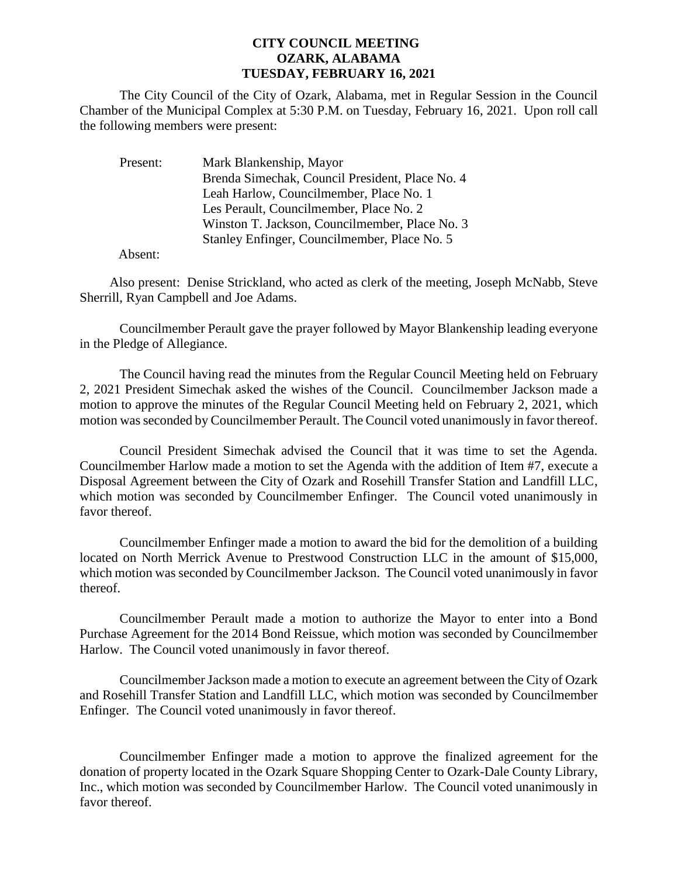## **CITY COUNCIL MEETING OZARK, ALABAMA TUESDAY, FEBRUARY 16, 2021**

The City Council of the City of Ozark, Alabama, met in Regular Session in the Council Chamber of the Municipal Complex at 5:30 P.M. on Tuesday, February 16, 2021. Upon roll call the following members were present:

| Present: | Mark Blankenship, Mayor                         |
|----------|-------------------------------------------------|
|          | Brenda Simechak, Council President, Place No. 4 |
|          | Leah Harlow, Councilmember, Place No. 1         |
|          | Les Perault, Councilmember, Place No. 2         |
|          | Winston T. Jackson, Councilmember, Place No. 3  |
|          | Stanley Enfinger, Councilmember, Place No. 5    |

Absent:

Also present: Denise Strickland, who acted as clerk of the meeting, Joseph McNabb, Steve Sherrill, Ryan Campbell and Joe Adams.

Councilmember Perault gave the prayer followed by Mayor Blankenship leading everyone in the Pledge of Allegiance.

The Council having read the minutes from the Regular Council Meeting held on February 2, 2021 President Simechak asked the wishes of the Council. Councilmember Jackson made a motion to approve the minutes of the Regular Council Meeting held on February 2, 2021, which motion was seconded by Councilmember Perault. The Council voted unanimously in favor thereof.

Council President Simechak advised the Council that it was time to set the Agenda. Councilmember Harlow made a motion to set the Agenda with the addition of Item #7, execute a Disposal Agreement between the City of Ozark and Rosehill Transfer Station and Landfill LLC, which motion was seconded by Councilmember Enfinger. The Council voted unanimously in favor thereof.

Councilmember Enfinger made a motion to award the bid for the demolition of a building located on North Merrick Avenue to Prestwood Construction LLC in the amount of \$15,000, which motion was seconded by Councilmember Jackson. The Council voted unanimously in favor thereof.

Councilmember Perault made a motion to authorize the Mayor to enter into a Bond Purchase Agreement for the 2014 Bond Reissue, which motion was seconded by Councilmember Harlow. The Council voted unanimously in favor thereof.

Councilmember Jackson made a motion to execute an agreement between the City of Ozark and Rosehill Transfer Station and Landfill LLC, which motion was seconded by Councilmember Enfinger. The Council voted unanimously in favor thereof.

Councilmember Enfinger made a motion to approve the finalized agreement for the donation of property located in the Ozark Square Shopping Center to Ozark-Dale County Library, Inc., which motion was seconded by Councilmember Harlow. The Council voted unanimously in favor thereof.